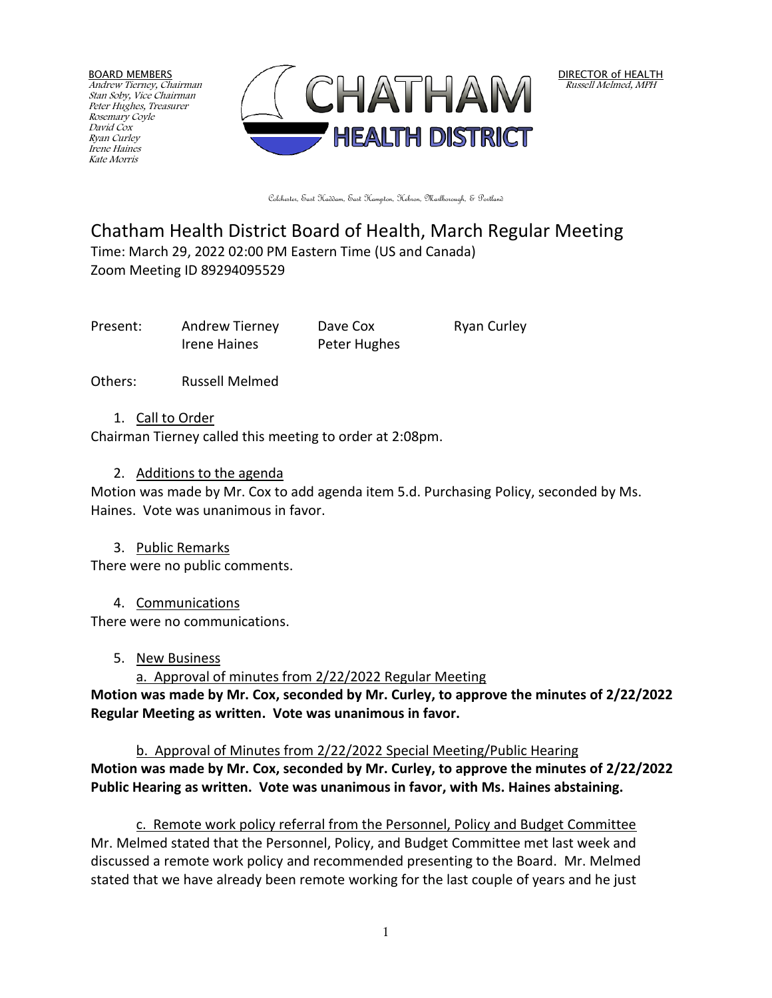BOARD MEMBERS Andrew Tierney, Chairman Stan Soby, Vice Chairman Peter Hughes, Treasurer Rosemary Coyle David Cox Ryan Curley Irene Haines Kate Morris



Colchester, East Haddam, East Hampton, Hebron, Marlborough, & Portland

# Chatham Health District Board of Health, March Regular Meeting Time: March 29, 2022 02:00 PM Eastern Time (US and Canada) Zoom Meeting ID 89294095529

Present: Andrew Tierney Dave Cox Ryan Curley Irene Haines Peter Hughes

Others: Russell Melmed

#### 1. Call to Order

Chairman Tierney called this meeting to order at 2:08pm.

### 2. Additions to the agenda

Motion was made by Mr. Cox to add agenda item 5.d. Purchasing Policy, seconded by Ms. Haines. Vote was unanimous in favor.

3. Public Remarks

There were no public comments.

4. Communications

There were no communications.

#### 5. New Business

a. Approval of minutes from 2/22/2022 Regular Meeting

**Motion was made by Mr. Cox, seconded by Mr. Curley, to approve the minutes of 2/22/2022 Regular Meeting as written. Vote was unanimous in favor.**

b. Approval of Minutes from 2/22/2022 Special Meeting/Public Hearing **Motion was made by Mr. Cox, seconded by Mr. Curley, to approve the minutes of 2/22/2022 Public Hearing as written. Vote was unanimous in favor, with Ms. Haines abstaining.**

c. Remote work policy referral from the Personnel, Policy and Budget Committee Mr. Melmed stated that the Personnel, Policy, and Budget Committee met last week and discussed a remote work policy and recommended presenting to the Board. Mr. Melmed stated that we have already been remote working for the last couple of years and he just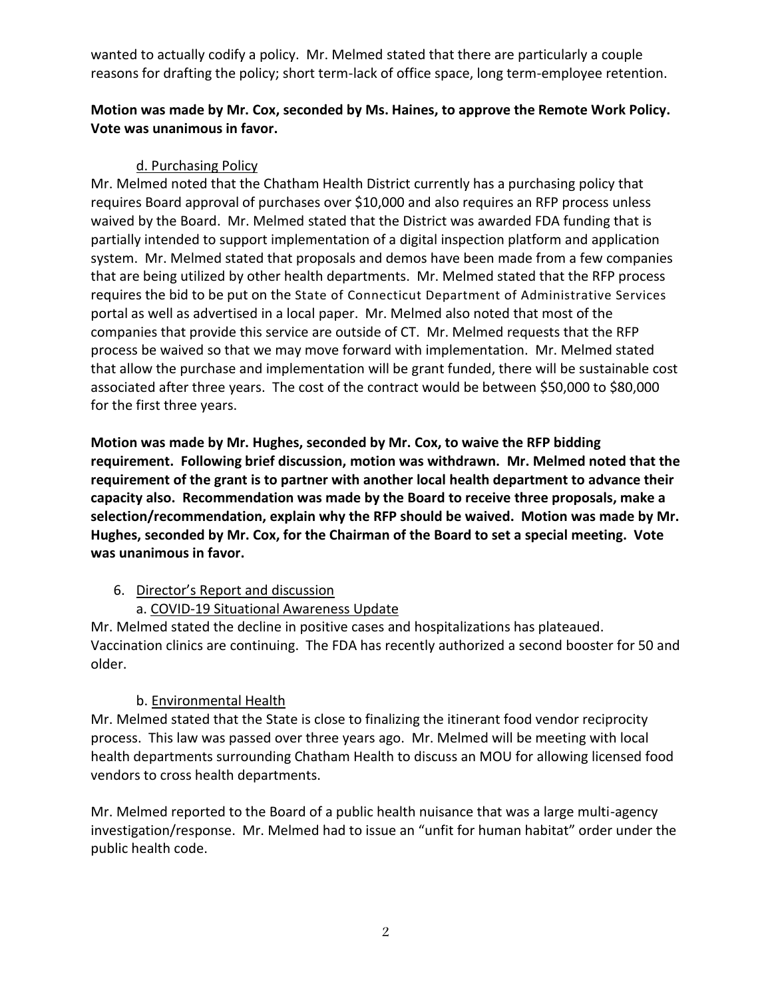wanted to actually codify a policy. Mr. Melmed stated that there are particularly a couple reasons for drafting the policy; short term-lack of office space, long term-employee retention.

## **Motion was made by Mr. Cox, seconded by Ms. Haines, to approve the Remote Work Policy. Vote was unanimous in favor.**

## d. Purchasing Policy

Mr. Melmed noted that the Chatham Health District currently has a purchasing policy that requires Board approval of purchases over \$10,000 and also requires an RFP process unless waived by the Board. Mr. Melmed stated that the District was awarded FDA funding that is partially intended to support implementation of a digital inspection platform and application system. Mr. Melmed stated that proposals and demos have been made from a few companies that are being utilized by other health departments. Mr. Melmed stated that the RFP process requires the bid to be put on the State of Connecticut Department of Administrative Services portal as well as advertised in a local paper. Mr. Melmed also noted that most of the companies that provide this service are outside of CT. Mr. Melmed requests that the RFP process be waived so that we may move forward with implementation. Mr. Melmed stated that allow the purchase and implementation will be grant funded, there will be sustainable cost associated after three years. The cost of the contract would be between \$50,000 to \$80,000 for the first three years.

**Motion was made by Mr. Hughes, seconded by Mr. Cox, to waive the RFP bidding requirement. Following brief discussion, motion was withdrawn. Mr. Melmed noted that the requirement of the grant is to partner with another local health department to advance their capacity also. Recommendation was made by the Board to receive three proposals, make a selection/recommendation, explain why the RFP should be waived. Motion was made by Mr. Hughes, seconded by Mr. Cox, for the Chairman of the Board to set a special meeting. Vote was unanimous in favor.** 

## 6. Director's Report and discussion

## a. COVID-19 Situational Awareness Update

Mr. Melmed stated the decline in positive cases and hospitalizations has plateaued. Vaccination clinics are continuing. The FDA has recently authorized a second booster for 50 and older.

### b. Environmental Health

Mr. Melmed stated that the State is close to finalizing the itinerant food vendor reciprocity process. This law was passed over three years ago. Mr. Melmed will be meeting with local health departments surrounding Chatham Health to discuss an MOU for allowing licensed food vendors to cross health departments.

Mr. Melmed reported to the Board of a public health nuisance that was a large multi-agency investigation/response. Mr. Melmed had to issue an "unfit for human habitat" order under the public health code.